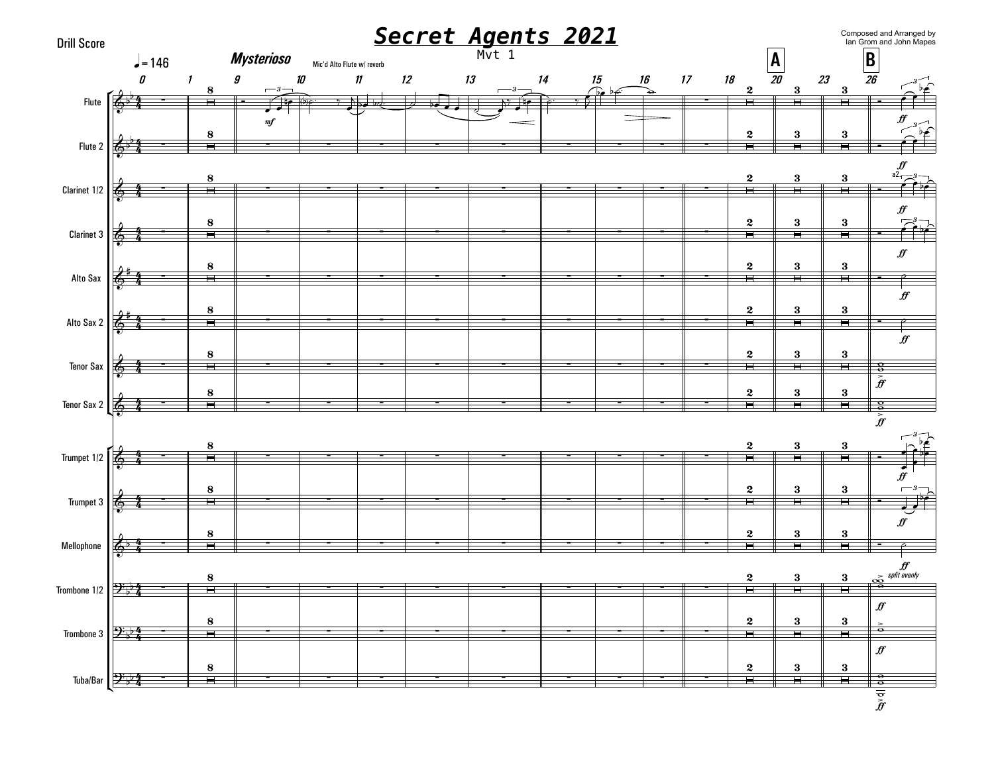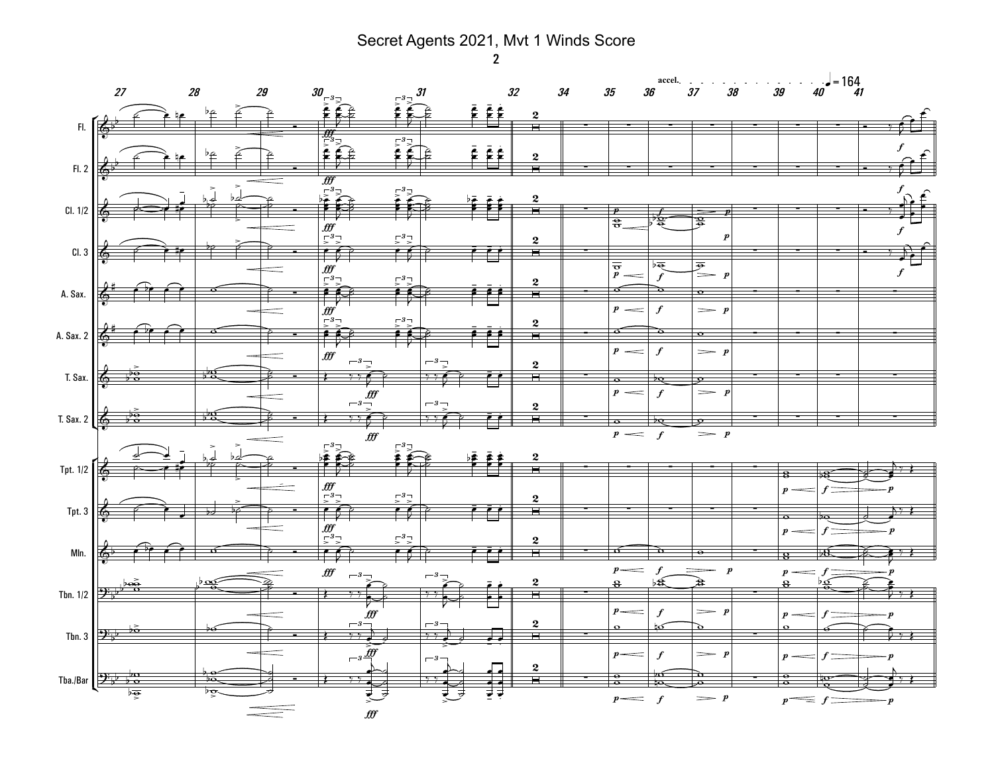Secret Agents 2021, Mvt 1 Winds Score

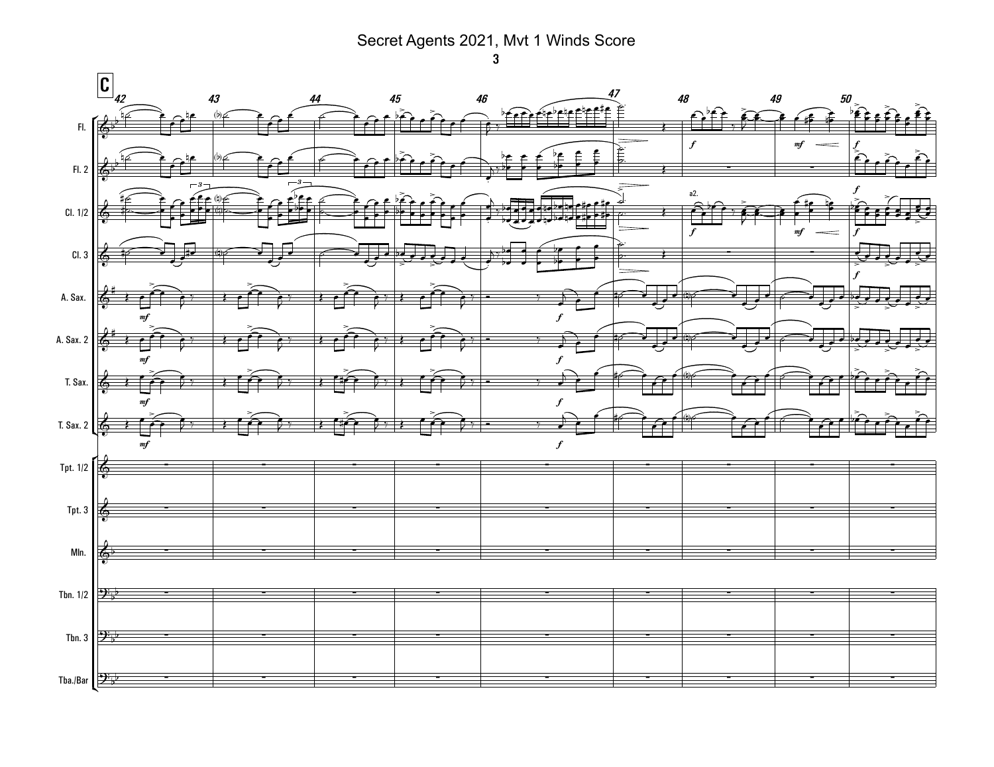## Secret Agents 2021, Mvt 1 Winds Score



 $\mathbf{3}$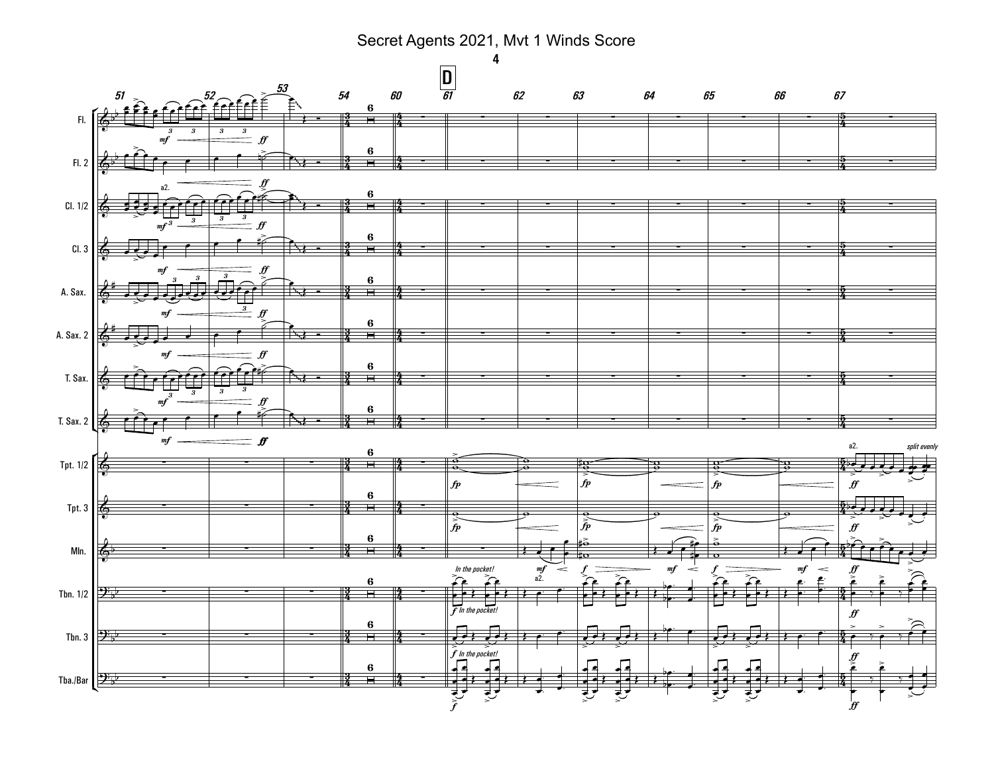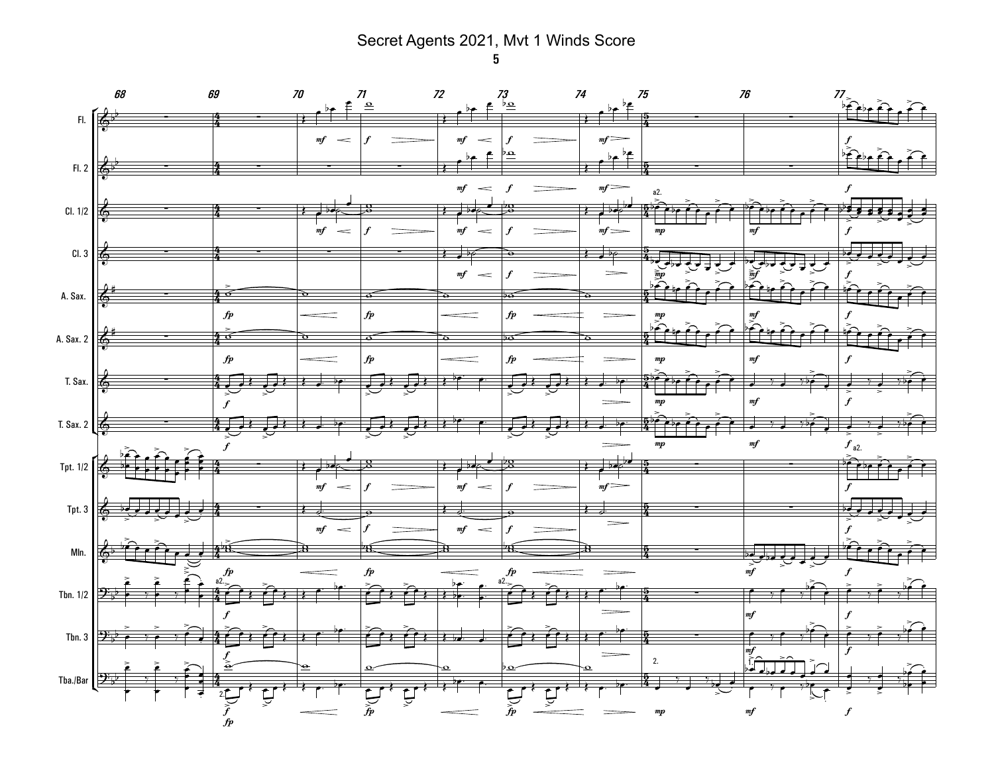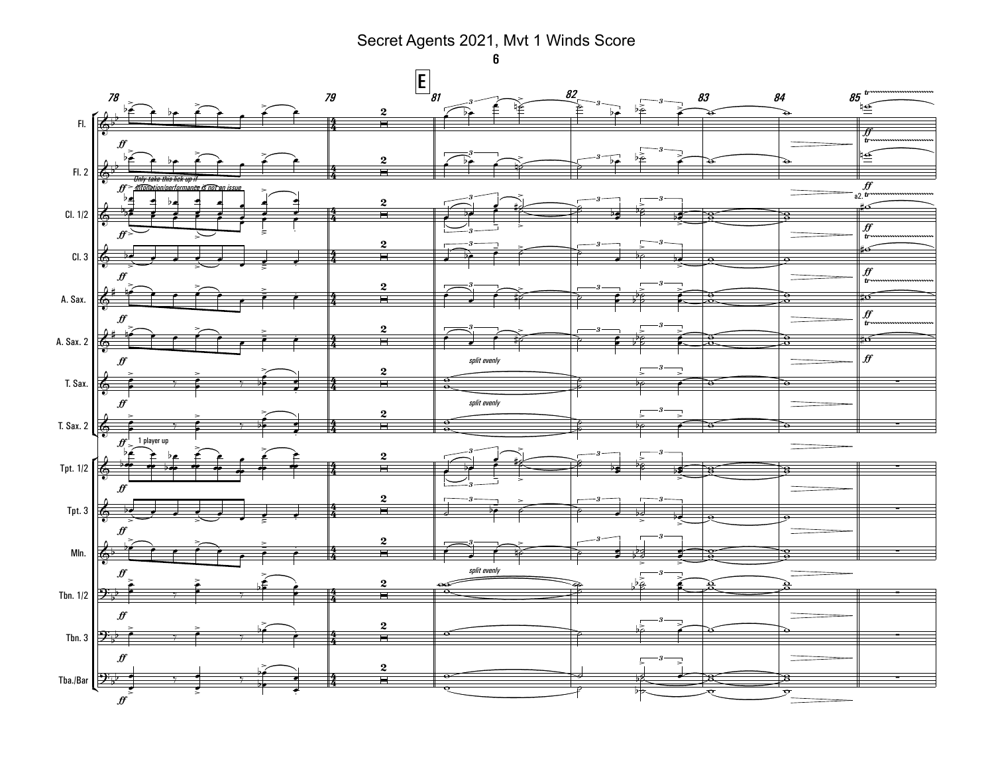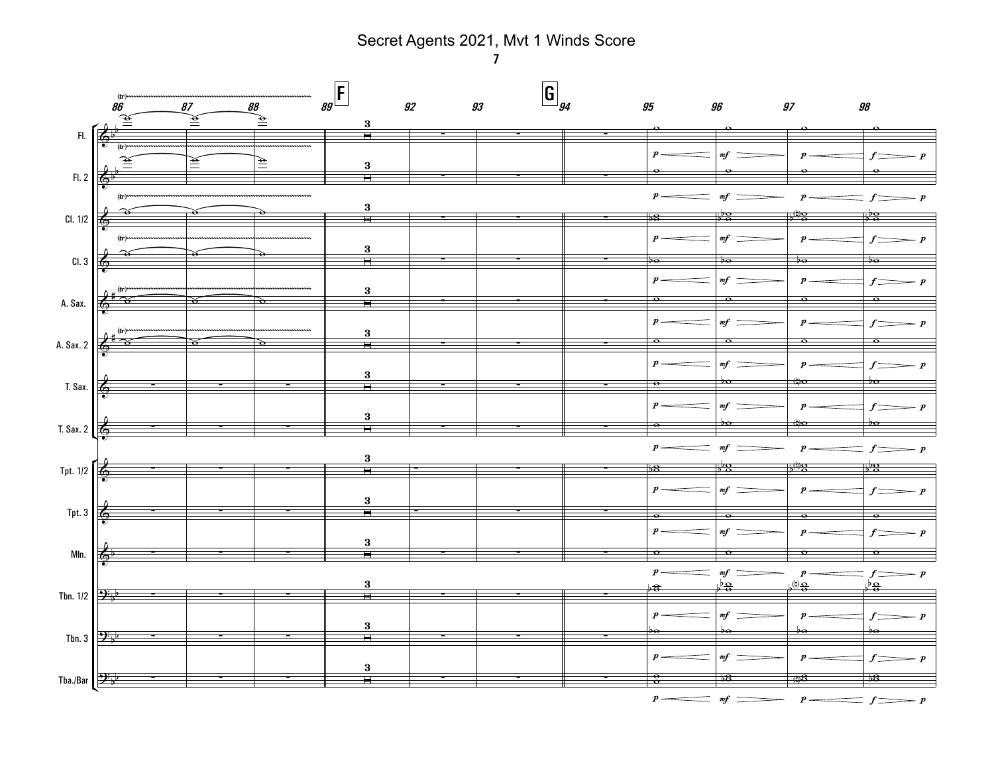